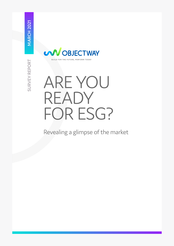

# ARE YOU READY FOR ESG?

Revealing a glimpse of the market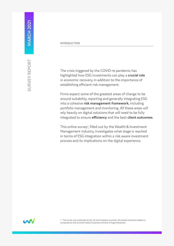The crisis triggered by the COVID-19 pandemic has highlighted how ESG investments can play a **crucial role**  in economic recovery, in addition to the importance of establishing efficient risk management.

Firms expect some of the greatest areas of change to be around suitability, reporting and generally integrating ESG into a cohesive **risk management framework**, including portfolio management and monitoring. All these areas will rely heavily on digital solutions that will need to be fully integrated to ensure **efficiency** and the best **client outcomes**.

This online survey<sup>1</sup>, filled out by the Wealth & Investment Management industry, investigates what stage is reached in terms of ESG integration within a risk aware investment process and its implications on the digital experience.

**MARCH 2021** 



1 - The survey was conducted across UK and European countries, the sample of opinion leaders is composed by 70% of small-medium business and 30% of large enterprises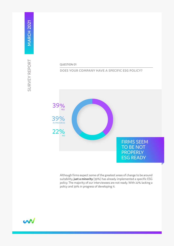# QUESTION 01

## **DOES YOUR COMPANY HAVE A SPECIFIC ESG POLICY?**



Although firms expect some of the greatest areas of change to be around suitability, **just a minority** (39%) has already implemented a specific ESG policy. The majority of our interviewees are not ready. With 22% lacking a policy and 39% in progress of developing it.

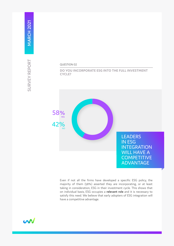**DO YOU INCORPORATE ESG INTO THE FULL INVESTMENT CYCLE?** 



LEADERS IN ESG **INTEGRATION** WILL HAVE A **COMPETITIVE** ADVANTAGE

Even if not all the firms have developed a specific ESG policy, the majority of them (58%) asserted they are incorporating, or at least taking in consideration, ESG in their investment cycle. This shows that on individual basis, ESG occupies a **relevant role** and it is necessary to satisfy this need. We believe that early adopters of ESG integration will have a competitive advantage.

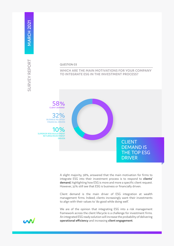#### QUESTION 03

#### **WHICH ARE THE MAIN MOTIVATIONS FOR YOUR COMPANY TO INTEGRATE ESG IN THE INVESTMENT PROCESS?**



DRIVEN

CLIENT DEMAND 58%

> CLIENT DEMAND IS THE TOP ESG DRIVER

A slight majority, 58%, answered that the main motivation for firms to integrate ESG into their investment process is to respond to **clients' demand**, highlighting how ESG is more and more a specific client request. However, 32% still see that ESG is business or financially driven.

Client demand is the main driver of ESG integration at wealth management firms. Indeed, clients increasingly want their investments to align with their values to 'do good while doing well'.

We are of the opinion that integrating ESG into a risk management framework across the client lifecycle is a challenge for investment firms. An integrated ESG ready solution will increase the probability of delivering **operational efficiency** and increasing **client engagement**.

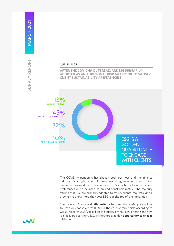**AFTER THE COVID-19 OUTBREAK, ARE ESG PRIMARILY ADOPTED AS AN ADDITIONAL RISK METRIC OR TO SATISFY CLIENT SUSTAINABILITY PREFERENCES?**



ESG IS A **GOLDEN OPPORTUNITY** TO ENGAGE WITH CLIENTS

The COVID-19 pandemic has shaken both our lives and the finance industry. Only 13% of our interviewees disagree when asked if the pandemic has modified the adoption of ESG by firms to satisfy client preferences or to be used as an additional risk metric. The majority affirms that ESG are primarily adopted to satisfy clients' requests (45%), proving that now more than ever ESG is at the top of their priorities.

Clients see ESG as a **real differentiator** between firms. Many are willing to leave or choose a firm (2/3rd in the case of millennials according to Cerulli research 2020), based on the quality of their ESG offering and how it is delivered to them. ESG is therefore a golden **opportunity to engage** with clients.

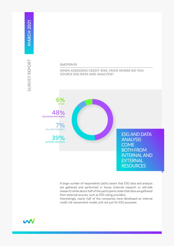#### **WHEN ASSESSING CREDIT RISK, FROM WHERE DO YOU SOURCE ESG DATA AND ANALYSIS?**



INTERNAL RESEARCH 39%

ESG AND DATA ANALYSIS **COME** BOTH FROM INTERNAL AND EXTERNAL **RESOURCES** 

A large number of respondents (46%) assert that ESG data and analysis are gathered and performed in house (internal research or sell-side research) while about half of the participants state that data are gathered from external sources, such as ESG rating providers.

Interestingly, nearly half of the companies have developed an internal credit risk assessment model, and not just for ESG purposes.

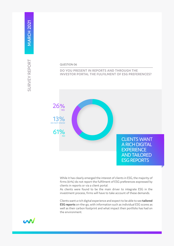#### **DO YOU PRESENT IN REPORTS AND THROUGH THE INVESTOR PORTAL THE FULFILMENT OF ESG PREFERENCES?**



CLIENTS WANT A RICH DIGITAL **EXPERIENCE** AND TAILORED ESG REPORTS

While it has clearly emerged the interest of clients in ESG, the majority of firms (61%) do not report the fulfilment of ESG preferences expressed by clients in reports or via a client portal.

As clients were found to be the main driver to integrate ESG in the investment process, firms will have to take account of these demands.

Clients want a rich digital experience and expect to be able to see **tailored ESG reports** on-the-go, with information such as individual ESG scores as well as their carbon footprint and what impact their portfolio has had on the environment.

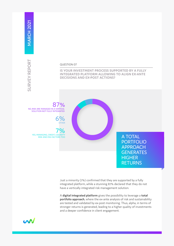#### QUESTION 07

**IS YOUR INVESTMENT PROCESS SUPPORTED BY A FULLY INTEGRATED PLATFORM ALLOWING TO ALIGN EX-ANTE DECISIONS AND EX-POST ACTIONS?**

NO, RISK ARE MANAGED IN A VERTICAL SOLUTION NOT FULLY INTEGRATED 87%

> 6% **OTHER**

YES, MANAGING, CREDIT, LIQUIDITY RISK AND ESG FACTORS TOO  $\%$ 

A TOTAL PORTFOLIO APPROACH **GENERATES HIGHER RETURNS** 

Just a minority (7%) confirmed that they are supported by a fully integrated platform, while a stunning 87% declared that they do not have a vertically integrated risk management solution.

A **digital integrated platform** gives the possibility to leverage a **total portfolio approach**, where the ex-ante analysis of risk and sustainability are tested and validated by ex-post monitoring. Thus, alpha, in terms of stronger returns is generated, leading to a higher quality of investments and a deeper confidence in client engagement.

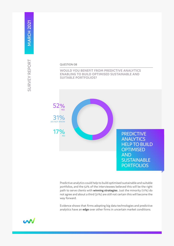## QUESTION 08

**WOULD YOU BENEFIT FROM PREDICTIVE ANALYTICS ENABLING TO BUILD OPTIMISED SUSTAINABLE AND SUITABLE PORTFOLIOS?**



**PREDICTIVE ANALYTICS** HELP TO BUILD **OPTIMISED** AND **SUSTAINABLE PORTFOLIOS** 

Predictive analytics could help to build optimised sustainable and suitable portfolios, and the 52% of the interviewees believed this will be the right path to serve clients with **winning strategies**. Just the minority (17%) do not agree and about a third (31%) are still not certain this will become the way forward.

Evidence shows that firms adopting big data technologies and predictive analytics have an **edge** over other firms in uncertain market conditions.

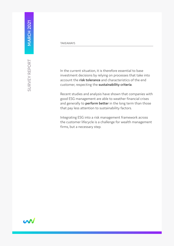#### **TAKFAWAYS**

In the current situation, it is therefore essential to base investment decisions by relying on processes that take into account the **risk tolerance** and characteristics of the end customer, respecting the **sustainability criteria**.

Recent studies and analysis have shown that companies with good ESG management are able to weather financial crises and generally to **perform better** in the long term than those that pay less attention to sustainability factors.

Integrating ESG into a risk management framework across the customer lifecycle is a challenge for wealth management firms, but a necessary step.